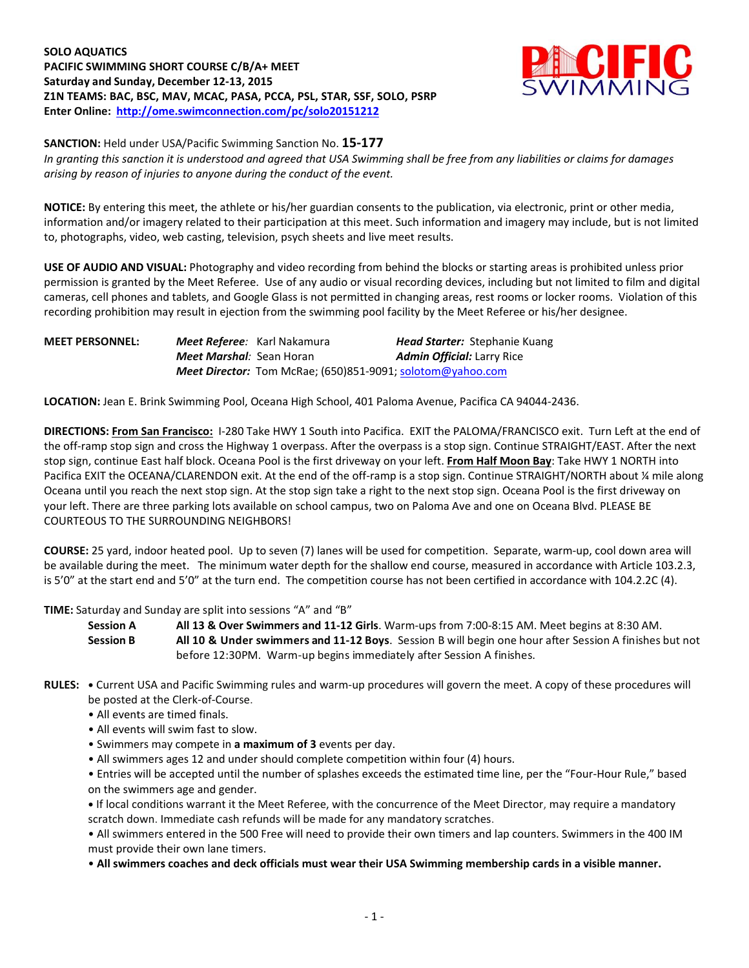**SOLO AQUATICS PACIFIC SWIMMING SHORT COURSE C/B/A+ MEET Saturday and Sunday, December 12-13, 2015 Z1N TEAMS: BAC, BSC, MAV, MCAC, PASA, PCCA, PSL, STAR, SSF, SOLO, PSRP Enter Online: <http://ome.swimconnection.com/pc/solo20151212>**



**SANCTION:** Held under USA/Pacific Swimming Sanction No. **15-177** *In granting this sanction it is understood and agreed that USA Swimming shall be free from any liabilities or claims for damages arising by reason of injuries to anyone during the conduct of the event.*

**NOTICE:** By entering this meet, the athlete or his/her guardian consents to the publication, via electronic, print or other media, information and/or imagery related to their participation at this meet. Such information and imagery may include, but is not limited to, photographs, video, web casting, television, psych sheets and live meet results.

**USE OF AUDIO AND VISUAL:** Photography and video recording from behind the blocks or starting areas is prohibited unless prior permission is granted by the Meet Referee. Use of any audio or visual recording devices, including but not limited to film and digital cameras, cell phones and tablets, and Google Glass is not permitted in changing areas, rest rooms or locker rooms. Violation of this recording prohibition may result in ejection from the swimming pool facility by the Meet Referee or his/her designee.

| <b>MEET PERSONNEL:</b> | <b>Meet Referee</b> : Karl Nakamura |                                                                   | <b>Head Starter:</b> Stephanie Kuang |
|------------------------|-------------------------------------|-------------------------------------------------------------------|--------------------------------------|
|                        | <b>Meet Marshal</b> : Sean Horan    |                                                                   | <b>Admin Official:</b> Larry Rice    |
|                        |                                     | <b>Meet Director:</b> Tom McRae: (650)851-9091: solotom@yahoo.com |                                      |

**LOCATION:** Jean E. Brink Swimming Pool, Oceana High School, 401 Paloma Avenue, Pacifica CA 94044-2436.

**DIRECTIONS: From San Francisco:** I-280 Take HWY 1 South into Pacifica. EXIT the PALOMA/FRANCISCO exit. Turn Left at the end of the off-ramp stop sign and cross the Highway 1 overpass. After the overpass is a stop sign. Continue STRAIGHT/EAST. After the next stop sign, continue East half block. Oceana Pool is the first driveway on your left. **From Half Moon Bay**: Take HWY 1 NORTH into Pacifica EXIT the OCEANA/CLARENDON exit. At the end of the off-ramp is a stop sign. Continue STRAIGHT/NORTH about ¼ mile along Oceana until you reach the next stop sign. At the stop sign take a right to the next stop sign. Oceana Pool is the first driveway on your left. There are three parking lots available on school campus, two on Paloma Ave and one on Oceana Blvd. PLEASE BE COURTEOUS TO THE SURROUNDING NEIGHBORS!

**COURSE:** 25 yard, indoor heated pool. Up to seven (7) lanes will be used for competition. Separate, warm-up, cool down area will be available during the meet. The minimum water depth for the shallow end course, measured in accordance with Article 103.2.3, is 5'0" at the start end and 5'0" at the turn end. The competition course has not been certified in accordance with 104.2.2C (4).

**TIME:** Saturday and Sunday are split into sessions "A" and "B"

**Session A All 13 & Over Swimmers and 11-12 Girls**. Warm-ups from 7:00-8:15 AM. Meet begins at 8:30 AM. **Session B All 10 & Under swimmers and 11-12 Boys**. Session B will begin one hour after Session A finishes but not before 12:30PM. Warm-up begins immediately after Session A finishes.

- **RULES: •** Current USA and Pacific Swimming rules and warm-up procedures will govern the meet. A copy of these procedures will be posted at the Clerk-of-Course.
	- All events are timed finals.
	- All events will swim fast to slow.
	- Swimmers may compete in **a maximum of 3** events per day.
	- All swimmers ages 12 and under should complete competition within four (4) hours.

• Entries will be accepted until the number of splashes exceeds the estimated time line, per the "Four-Hour Rule," based on the swimmers age and gender.

**•** If local conditions warrant it the Meet Referee, with the concurrence of the Meet Director, may require a mandatory scratch down. Immediate cash refunds will be made for any mandatory scratches.

• All swimmers entered in the 500 Free will need to provide their own timers and lap counters. Swimmers in the 400 IM must provide their own lane timers.

• **All swimmers coaches and deck officials must wear their USA Swimming membership cards in a visible manner.**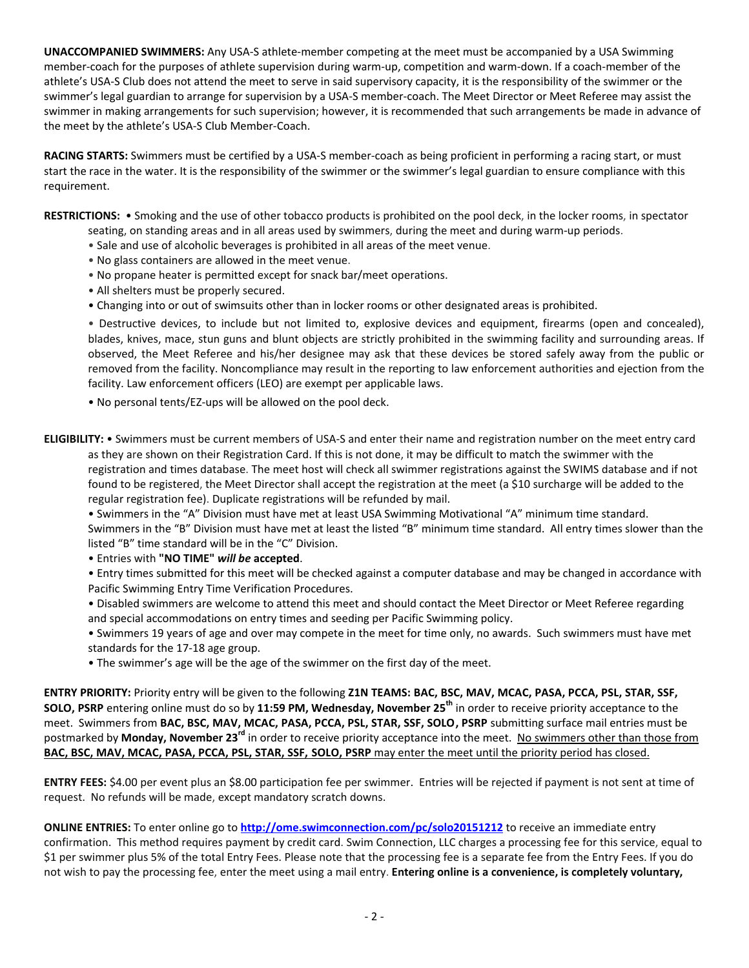**UNACCOMPANIED SWIMMERS:** Any USA-S athlete-member competing at the meet must be accompanied by a USA Swimming member-coach for the purposes of athlete supervision during warm-up, competition and warm-down. If a coach-member of the athlete's USA-S Club does not attend the meet to serve in said supervisory capacity, it is the responsibility of the swimmer or the swimmer's legal guardian to arrange for supervision by a USA-S member-coach. The Meet Director or Meet Referee may assist the swimmer in making arrangements for such supervision; however, it is recommended that such arrangements be made in advance of the meet by the athlete's USA-S Club Member-Coach.

**RACING STARTS:** Swimmers must be certified by a USA-S member-coach as being proficient in performing a racing start, or must start the race in the water. It is the responsibility of the swimmer or the swimmer's legal guardian to ensure compliance with this requirement.

**RESTRICTIONS:** • Smoking and the use of other tobacco products is prohibited on the pool deck, in the locker rooms, in spectator seating, on standing areas and in all areas used by swimmers, during the meet and during warm-up periods.

- Sale and use of alcoholic beverages is prohibited in all areas of the meet venue.
- No glass containers are allowed in the meet venue.
- No propane heater is permitted except for snack bar/meet operations.
- All shelters must be properly secured.
- Changing into or out of swimsuits other than in locker rooms or other designated areas is prohibited.

• Destructive devices, to include but not limited to, explosive devices and equipment, firearms (open and concealed), blades, knives, mace, stun guns and blunt objects are strictly prohibited in the swimming facility and surrounding areas. If observed, the Meet Referee and his/her designee may ask that these devices be stored safely away from the public or removed from the facility. Noncompliance may result in the reporting to law enforcement authorities and ejection from the facility. Law enforcement officers (LEO) are exempt per applicable laws.

- No personal tents/EZ-ups will be allowed on the pool deck.
- **ELIGIBILITY:** Swimmers must be current members of USA-S and enter their name and registration number on the meet entry card as they are shown on their Registration Card. If this is not done, it may be difficult to match the swimmer with the registration and times database. The meet host will check all swimmer registrations against the SWIMS database and if not found to be registered, the Meet Director shall accept the registration at the meet (a \$10 surcharge will be added to the regular registration fee). Duplicate registrations will be refunded by mail.
	- Swimmers in the "A" Division must have met at least USA Swimming Motivational "A" minimum time standard. Swimmers in the "B" Division must have met at least the listed "B" minimum time standard. All entry times slower than the listed "B" time standard will be in the "C" Division.
	- Entries with **"NO TIME"** *will be* **accepted**.
	- Entry times submitted for this meet will be checked against a computer database and may be changed in accordance with Pacific Swimming Entry Time Verification Procedures.
	- Disabled swimmers are welcome to attend this meet and should contact the Meet Director or Meet Referee regarding and special accommodations on entry times and seeding per Pacific Swimming policy.
	- Swimmers 19 years of age and over may compete in the meet for time only, no awards. Such swimmers must have met standards for the 17-18 age group.
	- The swimmer's age will be the age of the swimmer on the first day of the meet.

**ENTRY PRIORITY:** Priority entry will be given to the following **Z1N TEAMS: BAC, BSC, MAV, MCAC, PASA, PCCA, PSL, STAR, SSF, SOLO, PSRP** entering online must do so by **11:59 PM, Wednesday, November 25 th** in order to receive priority acceptance to the meet. Swimmers from **BAC, BSC, MAV, MCAC, PASA, PCCA, PSL, STAR, SSF, SOLO, PSRP** submitting surface mail entries must be postmarked by **Monday, November 23<sup>rd</sup> in order to receive priority acceptance into the meet. No swimmers other than those from BAC, BSC, MAV, MCAC, PASA, PCCA, PSL, STAR, SSF, SOLO, PSRP** may enter the meet until the priority period has closed.

**ENTRY FEES:** \$4.00 per event plus an \$8.00 participation fee per swimmer. Entries will be rejected if payment is not sent at time of request. No refunds will be made, except mandatory scratch downs.

**ONLINE ENTRIES:** To enter online go to **<http://ome.swimconnection.com/pc/solo20151212>** to receive an immediate entry confirmation. This method requires payment by credit card. Swim Connection, LLC charges a processing fee for this service, equal to \$1 per swimmer plus 5% of the total Entry Fees. Please note that the processing fee is a separate fee from the Entry Fees. If you do not wish to pay the processing fee, enter the meet using a mail entry. **Entering online is a convenience, is completely voluntary,**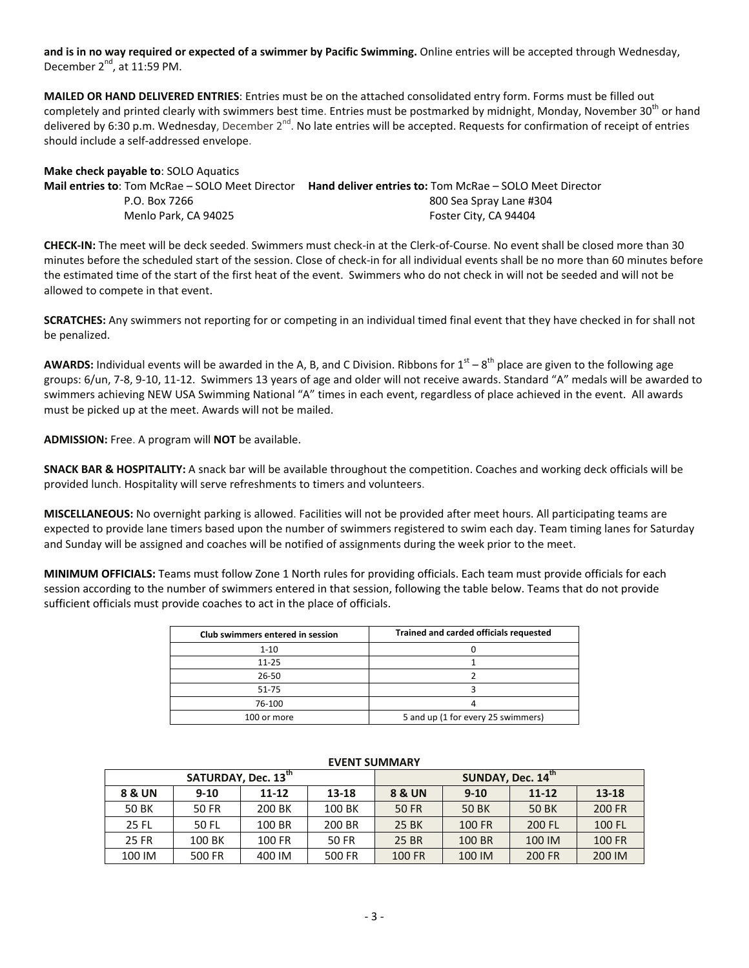**and is in no way required or expected of a swimmer by Pacific Swimming.** Online entries will be accepted through Wednesday, December  $2^{nd}$ , at 11:59 PM.

**MAILED OR HAND DELIVERED ENTRIES**: Entries must be on the attached consolidated entry form. Forms must be filled out completely and printed clearly with swimmers best time. Entries must be postmarked by midnight, Monday, November 30<sup>th</sup> or hand delivered by 6:30 p.m. Wednesday, December 2<sup>nd</sup>. No late entries will be accepted. Requests for confirmation of receipt of entries should include a self-addressed envelope.

| <b>IVIAKE CHECK DAVABLE TO:</b> SOLO AQUATICS          |                                                         |
|--------------------------------------------------------|---------------------------------------------------------|
| <b>Mail entries to: Tom McRae – SOLO Meet Director</b> | Hand deliver entries to: Tom McRae - SOLO Meet Director |
| P.O. Box 7266                                          | 800 Sea Spray Lane #304                                 |
| Menlo Park. CA 94025                                   | Foster City, CA 94404                                   |
|                                                        |                                                         |

**CHECK-IN:** The meet will be deck seeded. Swimmers must check-in at the Clerk-of-Course. No event shall be closed more than 30 minutes before the scheduled start of the session. Close of check-in for all individual events shall be no more than 60 minutes before the estimated time of the start of the first heat of the event. Swimmers who do not check in will not be seeded and will not be allowed to compete in that event.

**SCRATCHES:** Any swimmers not reporting for or competing in an individual timed final event that they have checked in for shall not be penalized.

AWARDS: Individual events will be awarded in the A, B, and C Division. Ribbons for 1<sup>st</sup> – 8<sup>th</sup> place are given to the following age groups: 6/un, 7-8, 9-10, 11-12. Swimmers 13 years of age and older will not receive awards. Standard "A" medals will be awarded to swimmers achieving NEW USA Swimming National "A" times in each event, regardless of place achieved in the event. All awards must be picked up at the meet. Awards will not be mailed.

**ADMISSION:** Free. A program will **NOT** be available.

**Make check payable to**: SOLO Aquatics

**SNACK BAR & HOSPITALITY:** A snack bar will be available throughout the competition. Coaches and working deck officials will be provided lunch. Hospitality will serve refreshments to timers and volunteers.

**MISCELLANEOUS:** No overnight parking is allowed. Facilities will not be provided after meet hours. All participating teams are expected to provide lane timers based upon the number of swimmers registered to swim each day. Team timing lanes for Saturday and Sunday will be assigned and coaches will be notified of assignments during the week prior to the meet.

**MINIMUM OFFICIALS:** Teams must follow Zone 1 North rules for providing officials. Each team must provide officials for each session according to the number of swimmers entered in that session, following the table below. Teams that do not provide sufficient officials must provide coaches to act in the place of officials.

| Club swimmers entered in session | Trained and carded officials requested |
|----------------------------------|----------------------------------------|
| $1 - 10$                         |                                        |
| $11 - 25$                        |                                        |
| 26-50                            |                                        |
| $51 - 75$                        |                                        |
| 76-100                           |                                        |
| 100 or more                      | 5 and up (1 for every 25 swimmers)     |

|                   | SATURDAY, Dec. 13 <sup>th</sup> |        |        | SUNDAY, Dec. 14th |                       |        |               |  |  |  |
|-------------------|---------------------------------|--------|--------|-------------------|-----------------------|--------|---------------|--|--|--|
| <b>8 &amp; UN</b> | $9-10$<br>13-18<br>$11 - 12$    |        |        | 8 & UN            | $11 - 12$<br>$9 - 10$ |        |               |  |  |  |
| 50 BK             | 50 FR                           | 200 BK | 100 BK | 50 FR             | 50 BK                 | 50 BK  | <b>200 FR</b> |  |  |  |
| 25 FL             | 50 FL                           | 100 BR | 200 BR | 25 BK             | 100 FR                | 200 FL | 100 FL        |  |  |  |
| 25 FR             | 100 BK                          | 100 FR | 50 FR  | 25 BR             | 100 BR                | 100 IM | <b>100 FR</b> |  |  |  |
| 100 IM            | 500 FR                          | 400 IM | 500 FR | 100 FR            | 100 IM                | 200 FR | 200 IM        |  |  |  |

## **EVENT SUMMARY**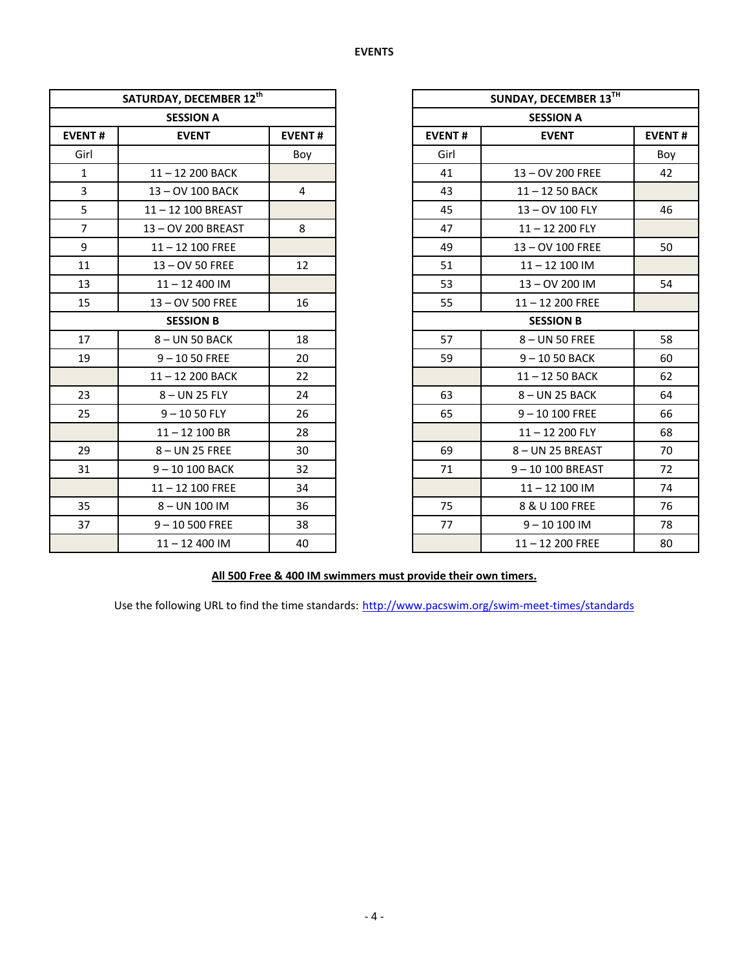|                | SATURDAY, DECEMBER 12 <sup>th</sup> |                |               | <b>SUNDAY, DECEMBER</b> |
|----------------|-------------------------------------|----------------|---------------|-------------------------|
|                | <b>SESSION A</b>                    |                |               | <b>SESSION A</b>        |
| <b>EVENT#</b>  | <b>EVENT</b>                        | <b>EVENT#</b>  | <b>EVENT#</b> | <b>EVENT</b>            |
| Girl           |                                     | Boy            | Girl          |                         |
| $\mathbf{1}$   | 11-12 200 BACK                      |                | 41            | 13-OV 200 FREE          |
| $\overline{3}$ | 13-OV 100 BACK                      | $\overline{4}$ | 43            | 11-12 50 BACK           |
| 5              | 11-12 100 BREAST                    |                | 45            | 13-OV 100 FLY           |
| $\overline{7}$ | 13-OV 200 BREAST                    | 8              | 47            | $11 - 12200$ FLY        |
| 9              | $11 - 12$ 100 FREE                  |                | 49            | 13-OV 100 FREE          |
| 11             | 13-OV 50 FREE                       | 12             | 51            | $11 - 12100$ IM         |
| 13             | $11 - 12400$ IM                     |                | 53            | 13-OV 200 IM            |
| 15             | 13-OV 500 FREE                      | 16             | 55            | 11-12 200 FREE          |
|                | <b>SESSION B</b>                    |                |               | <b>SESSION B</b>        |
| 17             | 8-UN 50 BACK                        | 18             | 57            | 8-UN 50 FREE            |
| 19             | $9 - 1050$ FREE                     | 20             | 59            | $9 - 1050$ BACK         |
|                | 11-12 200 BACK                      | 22             |               | 11-12 50 BACK           |
| 23             | 8-UN 25 FLY                         | 24             | 63            | 8-UN 25 BACK            |
| 25             | $9 - 1050$ FLY                      | 26             | 65            | $9 - 10100$ FREE        |
|                | $11 - 12$ 100 BR                    | 28             |               | $11 - 12200$ FLY        |
| 29             | 8-UN 25 FREE                        | 30             | 69            | 8- UN 25 BREAST         |
| 31             | 9-10 100 BACK                       | 32             | 71            | 9-10 100 BREAS          |
|                | $11 - 12$ 100 FREE                  | 34             |               | $11 - 12100$ IM         |
| 35             | 8-UN 100 IM                         | 36             | 75            | 8 & U 100 FREE          |
| 37             | $9 - 10500$ FREE                    | 38             | 77            | $9 - 10100$ IM          |
|                | $11 - 12400$ IM                     | 40             |               | $11 - 12200$ FREE       |

|                  | SATURDAY, DECEMBER 12th |                |                  | SUNDAY, DECEMBER 13TH |               |  |
|------------------|-------------------------|----------------|------------------|-----------------------|---------------|--|
|                  | <b>SESSION A</b>        |                |                  | <b>SESSION A</b>      |               |  |
| <b>EVENT#</b>    | <b>EVENT</b>            | <b>EVENT#</b>  |                  | <b>EVENT</b>          | <b>EVENT#</b> |  |
| Girl             |                         | Boy            | Girl             |                       | Boy           |  |
| $\mathbf{1}$     | 11-12 200 BACK          |                | 41               | 13-OV 200 FREE        | 42            |  |
| $\overline{3}$   | 13-OV 100 BACK          | $\overline{4}$ | 43               | 11-12 50 BACK         |               |  |
| 5                | 11-12 100 BREAST        |                | 45               | 13 - OV 100 FLY       | 46            |  |
| $\overline{7}$   | 13-OV 200 BREAST        | 8              | 47               | $11 - 12200$ FLY      |               |  |
| 9                | $11 - 12$ 100 FREE      |                | 49               | 13-OV 100 FREE        | 50            |  |
| 11               | 13 - OV 50 FREE         | 12             | 51               | $11 - 12100$ IM       |               |  |
| 13               | $11 - 12400$ IM         |                | 53               | 13-0V 200 IM          | 54            |  |
| 15               | 13 - OV 500 FREE        | 16             | 55               | $11 - 12200$ FREE     |               |  |
| <b>SESSION B</b> |                         |                | <b>SESSION B</b> |                       |               |  |
| 17               | 8-UN 50 BACK            | 18             | 57               | 8-UN 50 FREE          | 58            |  |
| 19               | $9 - 1050$ FREE         | 20             | 59               | $9 - 1050$ BACK       | 60            |  |
|                  | 11-12 200 BACK          | 22             |                  | $11 - 1250$ BACK      | 62            |  |
| 23               | $8 - UN$ 25 FLY         | 24             | 63               | 8-UN 25 BACK          | 64            |  |
| 25               | $9 - 1050$ FLY          | 26             | 65               | $9 - 10100$ FREE      | 66            |  |
|                  | $11 - 12$ 100 BR        | 28             |                  | $11 - 12200$ FLY      | 68            |  |
| 29               | 8-UN 25 FREE            | 30             | 69               | 8-UN 25 BREAST        | 70            |  |
| 31               | 9-10 100 BACK           | 32             | 71               | 9-10 100 BREAST       | 72            |  |
|                  | $11 - 12$ 100 FREE      | 34             |                  | $11 - 12$ 100 IM      | 74            |  |
| 35               | 8-UN 100 IM             | 36             | 75               | 8 & U 100 FREE        | 76            |  |
| 37               | $9 - 10500$ FREE        | 38             | 77               | $9 - 10100$ IM        | 78            |  |
|                  | $11 - 12400$ IM         | 40             |                  | $11 - 12200$ FREE     | 80            |  |

## **All 500 Free & 400 IM swimmers must provide their own timers.**

Use the following URL to find the time standards: <http://www.pacswim.org/swim-meet-times/standards>